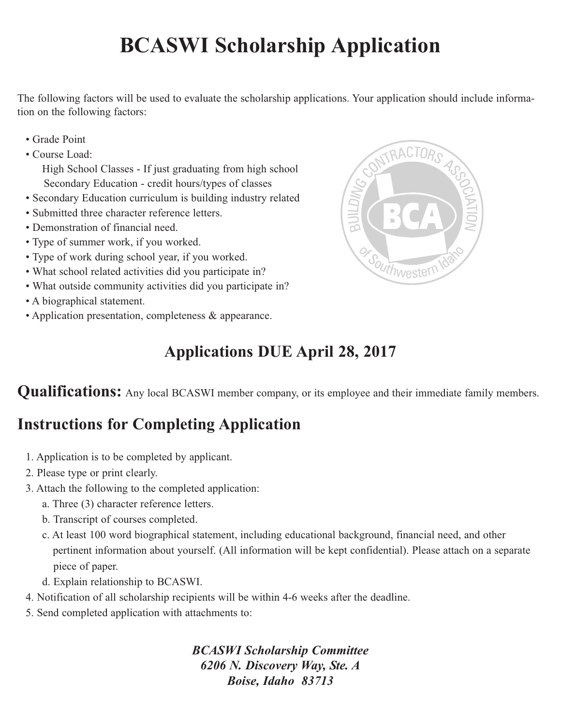## **BCASWI Scholarship Application**

The following factors will be used to evaluate the scholarship applications. Your application should include information on the following factors:

- Grade Point
- Course Load:

High School Classes - If just graduating from high school Secondary Education - credit hours/types of classes

- Secondary Education curriculum is building industry related
- Submitted three character reference letters.
- Demonstration of financial need.
- Type of summer work, if you worked.
- Type of work during school year, if you worked.
- What school related activities did you participate in?
- What outside community activities did you participate in?
- A biographical statement.
- Application presentation, completeness & appearance.



## **Applications DUE April 28, 2017**

**Qualifications:** Any local BCASWI member company, or its employee and their immediate family members.

## **Instructions for Completing Application**

- 1. Application is to be completed by applicant.
- 2. Please type or print clearly.
- 3. Attach the following to the completed application:
	- a. Three (3) character reference letters.
	- b. Transcript of courses completed.
	- c. At least 100 word biographical statement, including educational background, financial need, and other pertinent information about yourself. (All information will be kept confidential). Please attach on a separate piece of paper.
	- d. Explain relationship to BCASWI.
- 4. Notification of all scholarship recipients will be within 4-6 weeks after the deadline.
- 5. Send completed application with attachments to:

*BCASWI Scholarship Committee 6206 N. Discovery Way, Ste. A Boise, Idaho 83713*